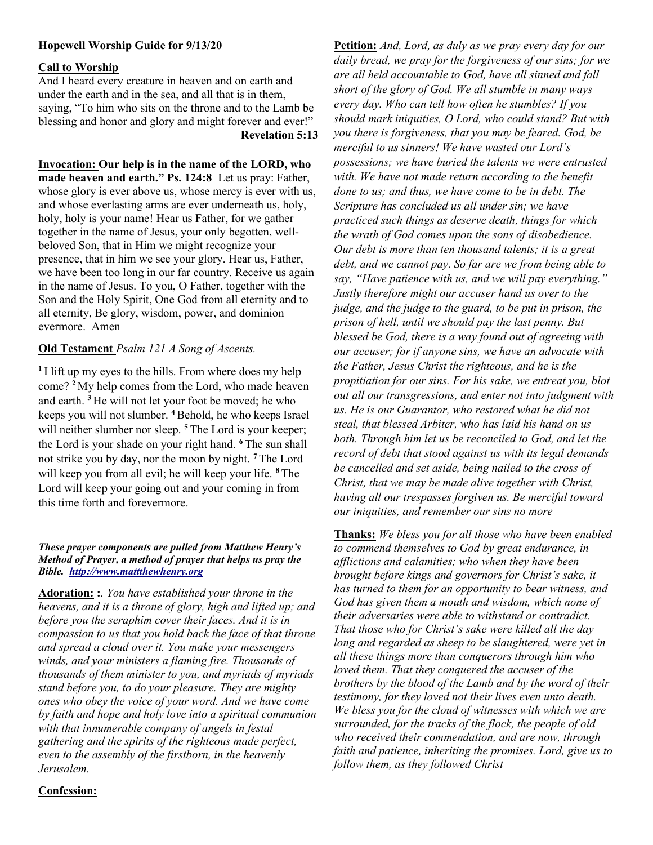# Hopewell Worship Guide for 9/13/20

## Call to Worship

And I heard every creature in heaven and on earth and under the earth and in the sea, and all that is in them, saying, "To him who sits on the throne and to the Lamb be blessing and honor and glory and might forever and ever!" Revelation 5:13

Invocation: Our help is in the name of the LORD, who made heaven and earth." Ps. 124:8 Let us pray: Father, whose glory is ever above us, whose mercy is ever with us, and whose everlasting arms are ever underneath us, holy, holy, holy is your name! Hear us Father, for we gather together in the name of Jesus, your only begotten, wellbeloved Son, that in Him we might recognize your presence, that in him we see your glory. Hear us, Father, we have been too long in our far country. Receive us again in the name of Jesus. To you, O Father, together with the Son and the Holy Spirit, One God from all eternity and to all eternity, Be glory, wisdom, power, and dominion evermore. Amen

# Old Testament Psalm 121 A Song of Ascents.

<sup>1</sup>I lift up my eyes to the hills. From where does my help come? <sup>2</sup>My help comes from the Lord, who made heaven and earth. <sup>3</sup>He will not let your foot be moved; he who keeps you will not slumber. <sup>4</sup>Behold, he who keeps Israel will neither slumber nor sleep. <sup>5</sup>The Lord is your keeper; the Lord is your shade on your right hand. <sup>6</sup>The sun shall not strike you by day, nor the moon by night. <sup>7</sup>The Lord will keep you from all evil; he will keep your life. <sup>8</sup>The Lord will keep your going out and your coming in from this time forth and forevermore.

#### These prayer components are pulled from Matthew Henry's Method of Prayer, a method of prayer that helps us pray the Bible. http://www.mattthewhenry.org

Adoration: :. You have established your throne in the heavens, and it is a throne of glory, high and lifted up; and before you the seraphim cover their faces. And it is in compassion to us that you hold back the face of that throne and spread a cloud over it. You make your messengers winds, and your ministers a flaming fire. Thousands of thousands of them minister to you, and myriads of myriads stand before you, to do your pleasure. They are mighty ones who obey the voice of your word. And we have come by faith and hope and holy love into a spiritual communion with that innumerable company of angels in festal gathering and the spirits of the righteous made perfect, even to the assembly of the firstborn, in the heavenly Jerusalem.

Petition: And, Lord, as duly as we pray every day for our daily bread, we pray for the forgiveness of our sins; for we are all held accountable to God, have all sinned and fall short of the glory of God. We all stumble in many ways every day. Who can tell how often he stumbles? If you should mark iniquities, O Lord, who could stand? But with you there is forgiveness, that you may be feared. God, be merciful to us sinners! We have wasted our Lord's possessions; we have buried the talents we were entrusted with. We have not made return according to the benefit done to us; and thus, we have come to be in debt. The Scripture has concluded us all under sin; we have practiced such things as deserve death, things for which the wrath of God comes upon the sons of disobedience. Our debt is more than ten thousand talents; it is a great debt, and we cannot pay. So far are we from being able to say, "Have patience with us, and we will pay everything." Justly therefore might our accuser hand us over to the judge, and the judge to the guard, to be put in prison, the prison of hell, until we should pay the last penny. But blessed be God, there is a way found out of agreeing with our accuser; for if anyone sins, we have an advocate with the Father, Jesus Christ the righteous, and he is the propitiation for our sins. For his sake, we entreat you, blot out all our transgressions, and enter not into judgment with us. He is our Guarantor, who restored what he did not steal, that blessed Arbiter, who has laid his hand on us both. Through him let us be reconciled to God, and let the record of debt that stood against us with its legal demands be cancelled and set aside, being nailed to the cross of Christ, that we may be made alive together with Christ, having all our trespasses forgiven us. Be merciful toward our iniquities, and remember our sins no more

Thanks: We bless you for all those who have been enabled to commend themselves to God by great endurance, in afflictions and calamities; who when they have been brought before kings and governors for Christ's sake, it has turned to them for an opportunity to bear witness, and God has given them a mouth and wisdom, which none of their adversaries were able to withstand or contradict. That those who for Christ's sake were killed all the day long and regarded as sheep to be slaughtered, were yet in all these things more than conquerors through him who loved them. That they conquered the accuser of the brothers by the blood of the Lamb and by the word of their testimony, for they loved not their lives even unto death. We bless you for the cloud of witnesses with which we are surrounded, for the tracks of the flock, the people of old who received their commendation, and are now, through faith and patience, inheriting the promises. Lord, give us to follow them, as they followed Christ

## Confession: